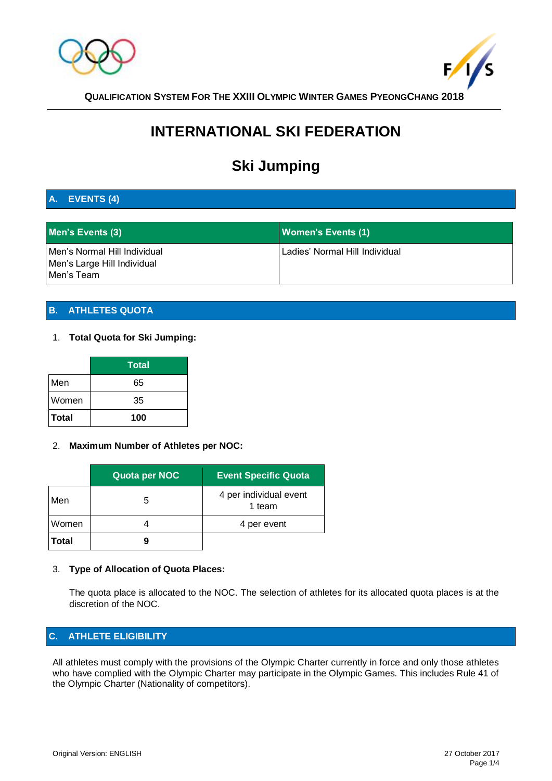



**QUALIFICATION SYSTEM FOR THE XXIII OLYMPIC WINTER GAMES PYEONGCHANG 2018**

# **INTERNATIONAL SKI FEDERATION**

# **Ski Jumping**

# **A. EVENTS (4)**

| Men's Events (3)                                                          | <b>Women's Events (1)</b>      |
|---------------------------------------------------------------------------|--------------------------------|
| Men's Normal Hill Individual<br>Men's Large Hill Individual<br>Men's Team | Ladies' Normal Hill Individual |

# **B. ATHLETES QUOTA**

## 1. **Total Quota for Ski Jumping:**

|              | Total |
|--------------|-------|
| Men          | 65    |
| Women        | 35    |
| <b>Total</b> | 100   |

#### 2. **Maximum Number of Athletes per NOC:**

|              | Quota per NOC | <b>Event Specific Quota</b>      |
|--------------|---------------|----------------------------------|
| Men          | 5             | 4 per individual event<br>1 team |
| Women        |               | 4 per event                      |
| <b>Total</b> | g             |                                  |

#### 3. **Type of Allocation of Quota Places:**

The quota place is allocated to the NOC. The selection of athletes for its allocated quota places is at the discretion of the NOC.

# **C. ATHLETE ELIGIBILITY**

All athletes must comply with the provisions of the Olympic Charter currently in force and only those athletes who have complied with the Olympic Charter may participate in the Olympic Games. This includes Rule 41 of the Olympic Charter (Nationality of competitors).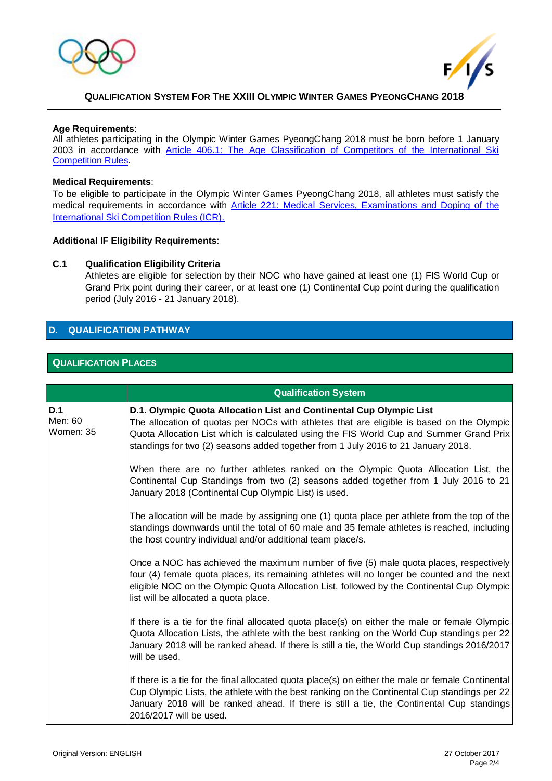



#### **QUALIFICATION SYSTEM FOR THE XXIII OLYMPIC WINTER GAMES PYEONGCHANG 2018**

#### **Age Requirements**:

All athletes participating in the Olympic Winter Games PyeongChang 2018 must be born before 1 January 2003 in accordance with Article 406.1: The Age Classification of Competitors of the International Ski [Competition Rules.](http://www.fis-ski.com/inside-fis/document-library/ski-jumping/index.html#deeplink=rules)

#### **Medical Requirements**:

To be eligible to participate in the Olympic Winter Games PyeongChang 2018, all athletes must satisfy the medical requirements in accordance with Article 221: Medical Services, Examinations and Doping of the **[International Ski Competition Rules \(ICR\).](http://www.fis-ski.com/inside-fis/document-library/ski-jumping/index.html#deeplink=rules)** 

#### **Additional IF Eligibility Requirements**:

#### **C.1 Qualification Eligibility Criteria**

Athletes are eligible for selection by their NOC who have gained at least one (1) FIS World Cup or Grand Prix point during their career, or at least one (1) Continental Cup point during the qualification period (July 2016 - 21 January 2018).

# **D. QUALIFICATION PATHWAY**

#### **QUALIFICATION PLACES**

|                             | <b>Qualification System</b>                                                                                                                                                                                                                                                                                                                      |
|-----------------------------|--------------------------------------------------------------------------------------------------------------------------------------------------------------------------------------------------------------------------------------------------------------------------------------------------------------------------------------------------|
| D.1<br>Men: 60<br>Women: 35 | D.1. Olympic Quota Allocation List and Continental Cup Olympic List<br>The allocation of quotas per NOCs with athletes that are eligible is based on the Olympic<br>Quota Allocation List which is calculated using the FIS World Cup and Summer Grand Prix<br>standings for two (2) seasons added together from 1 July 2016 to 21 January 2018. |
|                             | When there are no further athletes ranked on the Olympic Quota Allocation List, the<br>Continental Cup Standings from two (2) seasons added together from 1 July 2016 to 21<br>January 2018 (Continental Cup Olympic List) is used.                                                                                                              |
|                             | The allocation will be made by assigning one (1) quota place per athlete from the top of the<br>standings downwards until the total of 60 male and 35 female athletes is reached, including<br>the host country individual and/or additional team place/s.                                                                                       |
|                             | Once a NOC has achieved the maximum number of five (5) male quota places, respectively<br>four (4) female quota places, its remaining athletes will no longer be counted and the next<br>eligible NOC on the Olympic Quota Allocation List, followed by the Continental Cup Olympic<br>list will be allocated a quota place.                     |
|                             | If there is a tie for the final allocated quota place(s) on either the male or female Olympic<br>Quota Allocation Lists, the athlete with the best ranking on the World Cup standings per 22<br>January 2018 will be ranked ahead. If there is still a tie, the World Cup standings 2016/2017<br>will be used.                                   |
|                             | If there is a tie for the final allocated quota place(s) on either the male or female Continental<br>Cup Olympic Lists, the athlete with the best ranking on the Continental Cup standings per 22<br>January 2018 will be ranked ahead. If there is still a tie, the Continental Cup standings<br>2016/2017 will be used.                        |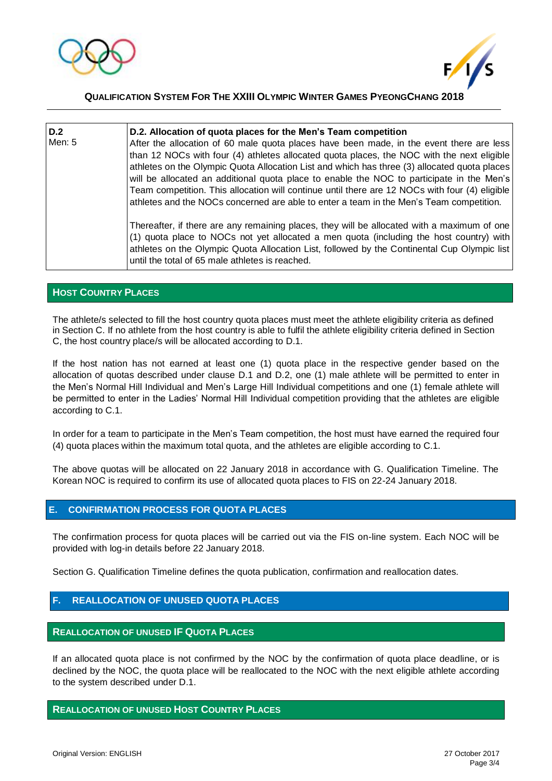



**QUALIFICATION SYSTEM FOR THE XXIII OLYMPIC WINTER GAMES PYEONGCHANG 2018**

**D.2** Men: 5 **D.2. Allocation of quota places for the Men's Team competition**  After the allocation of 60 male quota places have been made, in the event there are less than 12 NOCs with four (4) athletes allocated quota places, the NOC with the next eligible athletes on the Olympic Quota Allocation List and which has three (3) allocated quota places will be allocated an additional quota place to enable the NOC to participate in the Men's Team competition. This allocation will continue until there are 12 NOCs with four (4) eligible athletes and the NOCs concerned are able to enter a team in the Men's Team competition. Thereafter, if there are any remaining places, they will be allocated with a maximum of one (1) quota place to NOCs not yet allocated a men quota (including the host country) with athletes on the Olympic Quota Allocation List, followed by the Continental Cup Olympic list until the total of 65 male athletes is reached.

#### **HOST COUNTRY PLACES**

The athlete/s selected to fill the host country quota places must meet the athlete eligibility criteria as defined in Section C. If no athlete from the host country is able to fulfil the athlete eligibility criteria defined in Section C, the host country place/s will be allocated according to D.1.

If the host nation has not earned at least one (1) quota place in the respective gender based on the allocation of quotas described under clause D.1 and D.2, one (1) male athlete will be permitted to enter in the Men's Normal Hill Individual and Men's Large Hill Individual competitions and one (1) female athlete will be permitted to enter in the Ladies' Normal Hill Individual competition providing that the athletes are eligible according to C.1.

In order for a team to participate in the Men's Team competition, the host must have earned the required four (4) quota places within the maximum total quota, and the athletes are eligible according to C.1.

The above quotas will be allocated on 22 January 2018 in accordance with G. Qualification Timeline. The Korean NOC is required to confirm its use of allocated quota places to FIS on 22-24 January 2018.

#### **E. CONFIRMATION PROCESS FOR QUOTA PLACES**

The confirmation process for quota places will be carried out via the FIS on-line system. Each NOC will be provided with log-in details before 22 January 2018.

Section G. Qualification Timeline defines the quota publication, confirmation and reallocation dates.

## **F. REALLOCATION OF UNUSED QUOTA PLACES**

#### **REALLOCATION OF UNUSED IF QUOTA PLACES**

If an allocated quota place is not confirmed by the NOC by the confirmation of quota place deadline, or is declined by the NOC, the quota place will be reallocated to the NOC with the next eligible athlete according to the system described under D.1.

#### **REALLOCATION OF UNUSED HOST COUNTRY PLACES**